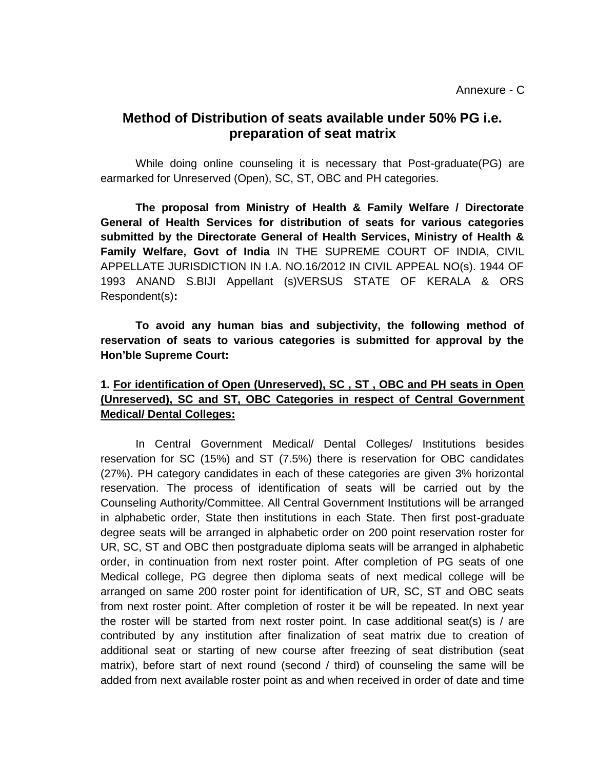## **Method of Distribution of seats available under 50% PG i.e. preparation of seat matrix**

While doing online counseling it is necessary that Post-graduate(PG) are earmarked for Unreserved (Open), SC, ST, OBC and PH categories.

**The proposal from Ministry of Health & Family Welfare / Directorate General of Health Services for distribution of seats for various categories submitted by the Directorate General of Health Services, Ministry of Health & Family Welfare, Govt of India** IN THE SUPREME COURT OF INDIA, CIVIL APPELLATE JURISDICTION IN I.A. NO.16/2012 IN CIVIL APPEAL NO(s). 1944 OF 1993 ANAND S.BIJI Appellant (s)VERSUS STATE OF KERALA & ORS Respondent(s)**:**

**To avoid any human bias and subjectivity, the following method of reservation of seats to various categories is submitted for approval by the Hon'ble Supreme Court:**

## **1. For identification of Open (Unreserved), SC , ST , OBC and PH seats in Open (Unreserved), SC and ST, OBC Categories in respect of Central Government Medical/ Dental Colleges:**

In Central Government Medical/ Dental Colleges/ Institutions besides reservation for SC (15%) and ST (7.5%) there is reservation for OBC candidates (27%). PH category candidates in each of these categories are given 3% horizontal reservation. The process of identification of seats will be carried out by the Counseling Authority/Committee. All Central Government Institutions will be arranged in alphabetic order, State then institutions in each State. Then first post-graduate degree seats will be arranged in alphabetic order on 200 point reservation roster for UR, SC, ST and OBC then postgraduate diploma seats will be arranged in alphabetic order, in continuation from next roster point. After completion of PG seats of one Medical college, PG degree then diploma seats of next medical college will be arranged on same 200 roster point for identification of UR, SC, ST and OBC seats from next roster point. After completion of roster it be will be repeated. In next year the roster will be started from next roster point. In case additional seat(s) is / are contributed by any institution after finalization of seat matrix due to creation of additional seat or starting of new course after freezing of seat distribution (seat matrix), before start of next round (second / third) of counseling the same will be added from next available roster point as and when received in order of date and time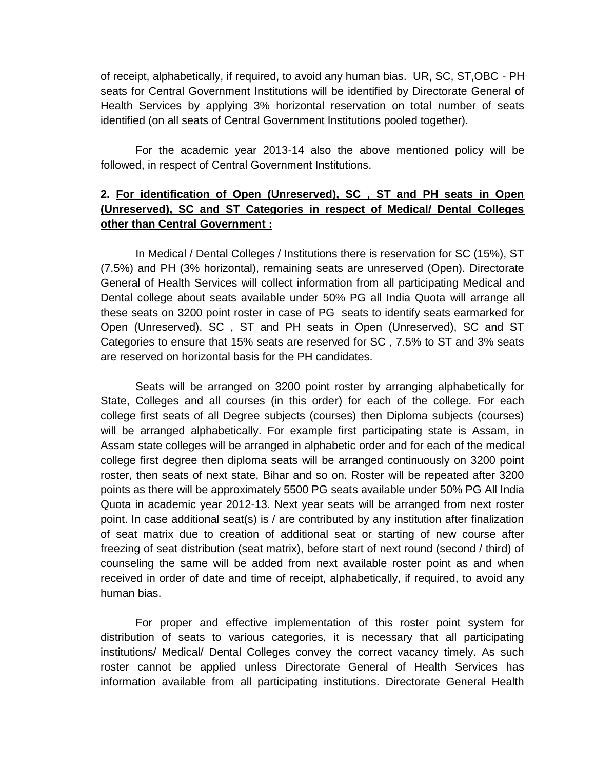of receipt, alphabetically, if required, to avoid any human bias. UR, SC, ST,OBC - PH seats for Central Government Institutions will be identified by Directorate General of Health Services by applying 3% horizontal reservation on total number of seats identified (on all seats of Central Government Institutions pooled together).

For the academic year 2013-14 also the above mentioned policy will be followed, in respect of Central Government Institutions.

## **2. For identification of Open (Unreserved), SC , ST and PH seats in Open (Unreserved), SC and ST Categories in respect of Medical/ Dental Colleges other than Central Government :**

In Medical / Dental Colleges / Institutions there is reservation for SC (15%), ST (7.5%) and PH (3% horizontal), remaining seats are unreserved (Open). Directorate General of Health Services will collect information from all participating Medical and Dental college about seats available under 50% PG all India Quota will arrange all these seats on 3200 point roster in case of PG seats to identify seats earmarked for Open (Unreserved), SC , ST and PH seats in Open (Unreserved), SC and ST Categories to ensure that 15% seats are reserved for SC , 7.5% to ST and 3% seats are reserved on horizontal basis for the PH candidates.

Seats will be arranged on 3200 point roster by arranging alphabetically for State, Colleges and all courses (in this order) for each of the college. For each college first seats of all Degree subjects (courses) then Diploma subjects (courses) will be arranged alphabetically. For example first participating state is Assam, in Assam state colleges will be arranged in alphabetic order and for each of the medical college first degree then diploma seats will be arranged continuously on 3200 point roster, then seats of next state, Bihar and so on. Roster will be repeated after 3200 points as there will be approximately 5500 PG seats available under 50% PG All India Quota in academic year 2012-13. Next year seats will be arranged from next roster point. In case additional seat(s) is / are contributed by any institution after finalization of seat matrix due to creation of additional seat or starting of new course after freezing of seat distribution (seat matrix), before start of next round (second / third) of counseling the same will be added from next available roster point as and when received in order of date and time of receipt, alphabetically, if required, to avoid any human bias.

For proper and effective implementation of this roster point system for distribution of seats to various categories, it is necessary that all participating institutions/ Medical/ Dental Colleges convey the correct vacancy timely. As such roster cannot be applied unless Directorate General of Health Services has information available from all participating institutions. Directorate General Health